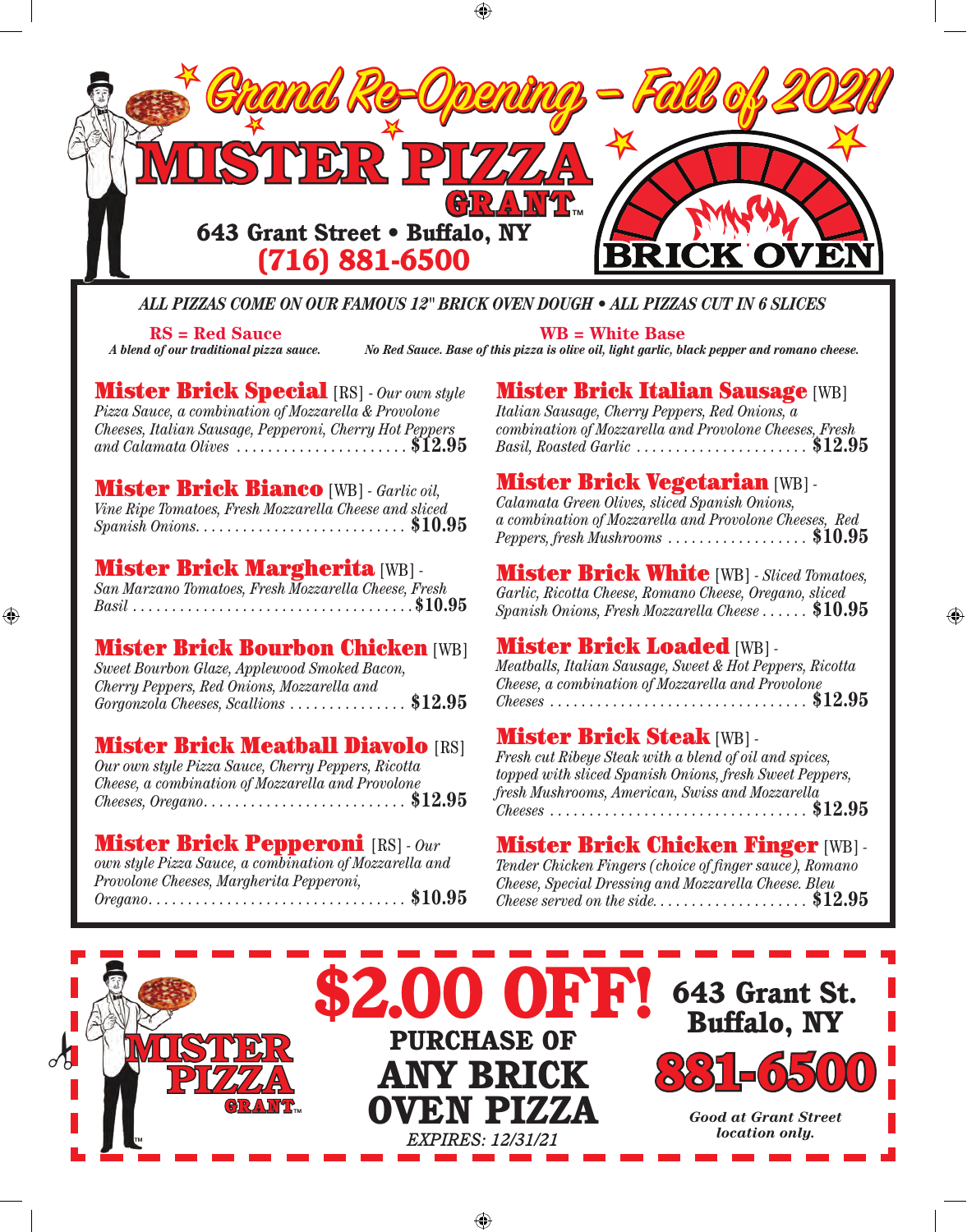

⊕

#### *ALL PIZZAS COME ON OUR FAMOUS 12" BRICK OVEN DOUGH • ALL PIZZAS CUT IN 6 SLICES*

**RS = Red Sauce** *A blend of our traditional pizza sauce.*

⊕

**WB = White Base** *No Red Sauce. Base of this pizza is olive oil, light garlic, black pepper and romano cheese.*

Mister Brick Special [RS] - *Our own style Pizza Sauce, a combination of Mozzarella & Provolone Cheeses, Italian Sausage, Pepperoni, Cherry Hot Peppers and Calamata Olives* . . . . . . . . . . . . . . . . . . . . . . **\$12.95**

Mister Brick Bianco [WB] *- Garlic oil, Vine Ripe Tomatoes, Fresh Mozzarella Cheese and sliced Spanish Onions . . . . . . . . . . . . . . . . . . . . . . . . . .* **\$10.95**

## Mister Brick Margherita [WB] *- San Marzano Tomatoes, Fresh Mozzarella Cheese, Fresh*

*Basil . . . . . . . . . . . . . . . . . . . . . . . . . . . . . . . . . . .* **\$10.95**

#### Mister Brick Bourbon Chicken [WB]

*Sweet Bourbon Glaze, Applewood Smoked Bacon, Cherry Peppers, Red Onions, Mozzarella and Gorgonzola Cheeses, Scallions . . . . . . . . . . . . . . .* **\$12.95**

#### **Mister Brick Meatball Diavolo [RS]**

*Our own style Pizza Sauce, Cherry Peppers, Ricotta Cheese, a combination of Mozzarella and Provolone Cheeses, Oregano . . . . . . . . . . . . . . . . . . . . . . . . . .* **\$12.95**

Mister Brick Pepperoni [RS] *- Our own style Pizza Sauce, a combination of Mozzarella and Provolone Cheeses, Margherita Pepperoni, Oregano . . . . . . . . . . . . . . . . . . . . . . . . . . . . . . . . .* **\$10.95**

#### **Mister Brick Italian Sausage [WB]**

*Italian Sausage, Cherry Peppers, Red Onions, a combination of Mozzarella and Provolone Cheeses, Fresh Basil, Roasted Garlic . . . . . . . . . . . . . . . . . . . . . .* **\$12.95**

## Mister Brick Vegetarian [WB] *- Calamata Green Olives, sliced Spanish Onions,*

*a combination of Mozzarella and Provolone Cheeses, Red Peppers, fresh Mushrooms . . . . . . . . . . . . . . . . . .* **\$10.95**

#### Mister Brick White [WB] *- Sliced Tomatoes,*

*Garlic, Ricotta Cheese, Romano Cheese, Oregano, sliced Spanish Onions, Fresh Mozzarella Cheese . . . . . .* **\$10.95**

◈

### Mister Brick Loaded [WB] *- Meatballs, Italian Sausage, Sweet & Hot Peppers, Ricotta*

*Cheese, a combination of Mozzarella and Provolone Cheeses . . . . . . . . . . . . . . . . . . . . . . . . . . . . . . . . .* **\$12.95**

## Mister Brick Steak [WB] *- Fresh cut Ribeye Steak with a blend of oil and spices,*

*topped with sliced Spanish Onions, fresh Sweet Peppers, fresh Mushrooms, American, Swiss and Mozzarella Cheeses . . . . . . . . . . . . . . . . . . . . . . . . . . . . . . . . .* **\$12.95**

## Mister Brick Chicken Finger [WB] *- Tender Chicken Fingers (choice of finger sauce), Romano*

*Cheese, Special Dressing and Mozzarella Cheese. Bleu Cheese served on the side. . . . . . . . . . . . . . . . . . . .* **\$12.95**